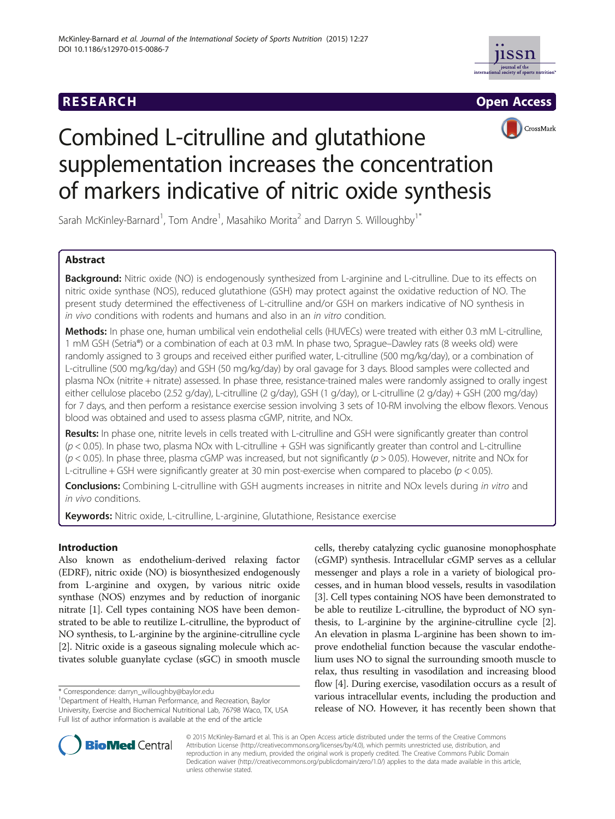





CrossMark

# Combined L-citrulline and glutathione supplementation increases the concentration of markers indicative of nitric oxide synthesis

Sarah McKinley-Barnard<sup>1</sup>, Tom Andre<sup>1</sup>, Masahiko Morita<sup>2</sup> and Darryn S. Willoughby<sup>1\*</sup>

# Abstract

Background: Nitric oxide (NO) is endogenously synthesized from L-arginine and L-citrulline. Due to its effects on nitric oxide synthase (NOS), reduced glutathione (GSH) may protect against the oxidative reduction of NO. The present study determined the effectiveness of L-citrulline and/or GSH on markers indicative of NO synthesis in in vivo conditions with rodents and humans and also in an in vitro condition.

Methods: In phase one, human umbilical vein endothelial cells (HUVECs) were treated with either 0.3 mM L-citrulline, 1 mM GSH (Setria®) or a combination of each at 0.3 mM. In phase two, Sprague–Dawley rats (8 weeks old) were randomly assigned to 3 groups and received either purified water, L-citrulline (500 mg/kg/day), or a combination of L-citrulline (500 mg/kg/day) and GSH (50 mg/kg/day) by oral gavage for 3 days. Blood samples were collected and plasma NOx (nitrite + nitrate) assessed. In phase three, resistance-trained males were randomly assigned to orally ingest either cellulose placebo (2.52 g/day), L-citrulline (2 g/day), GSH (1 g/day), or L-citrulline (2 g/day) + GSH (200 mg/day) for 7 days, and then perform a resistance exercise session involving 3 sets of 10-RM involving the elbow flexors. Venous blood was obtained and used to assess plasma cGMP, nitrite, and NOx.

Results: In phase one, nitrite levels in cells treated with L-citrulline and GSH were significantly greater than control  $(p < 0.05)$ . In phase two, plasma NOx with L-citrulline  $+$  GSH was significantly greater than control and L-citrulline  $(p < 0.05)$ . In phase three, plasma cGMP was increased, but not significantly  $(p > 0.05)$ . However, nitrite and NOx for L-citrulline + GSH were significantly greater at 30 min post-exercise when compared to placebo ( $p < 0.05$ ).

Conclusions: Combining L-citrulline with GSH augments increases in nitrite and NOx levels during in vitro and in vivo conditions.

Keywords: Nitric oxide, L-citrulline, L-arginine, Glutathione, Resistance exercise

# Introduction

Also known as endothelium-derived relaxing factor (EDRF), nitric oxide (NO) is biosynthesized endogenously from L-arginine and oxygen, by various nitric oxide synthase (NOS) enzymes and by reduction of inorganic nitrate [\[1](#page-7-0)]. Cell types containing NOS have been demonstrated to be able to reutilize L-citrulline, the byproduct of NO synthesis, to L-arginine by the arginine-citrulline cycle [[2\]](#page-7-0). Nitric oxide is a gaseous signaling molecule which activates soluble guanylate cyclase (sGC) in smooth muscle

cells, thereby catalyzing cyclic guanosine monophosphate (cGMP) synthesis. Intracellular cGMP serves as a cellular messenger and plays a role in a variety of biological processes, and in human blood vessels, results in vasodilation [[3\]](#page-7-0). Cell types containing NOS have been demonstrated to be able to reutilize L-citrulline, the byproduct of NO synthesis, to L-arginine by the arginine-citrulline cycle [[2](#page-7-0)]. An elevation in plasma L-arginine has been shown to improve endothelial function because the vascular endothelium uses NO to signal the surrounding smooth muscle to relax, thus resulting in vasodilation and increasing blood flow [[4](#page-7-0)]. During exercise, vasodilation occurs as a result of various intracellular events, including the production and release of NO. However, it has recently been shown that



© 2015 McKinley-Barnard et al. This is an Open Access article distributed under the terms of the Creative Commons Attribution License (<http://creativecommons.org/licenses/by/4.0>), which permits unrestricted use, distribution, and reproduction in any medium, provided the original work is properly credited. The Creative Commons Public Domain Dedication waiver [\(http://creativecommons.org/publicdomain/zero/1.0/](http://creativecommons.org/publicdomain/zero/1.0/)) applies to the data made available in this article, unless otherwise stated.

<sup>\*</sup> Correspondence: [darryn\\_willoughby@baylor.edu](mailto:darryn_willoughby@baylor.edu) <sup>1</sup>

<sup>&</sup>lt;sup>1</sup>Department of Health, Human Performance, and Recreation, Baylor University, Exercise and Biochemical Nutritional Lab, 76798 Waco, TX, USA Full list of author information is available at the end of the article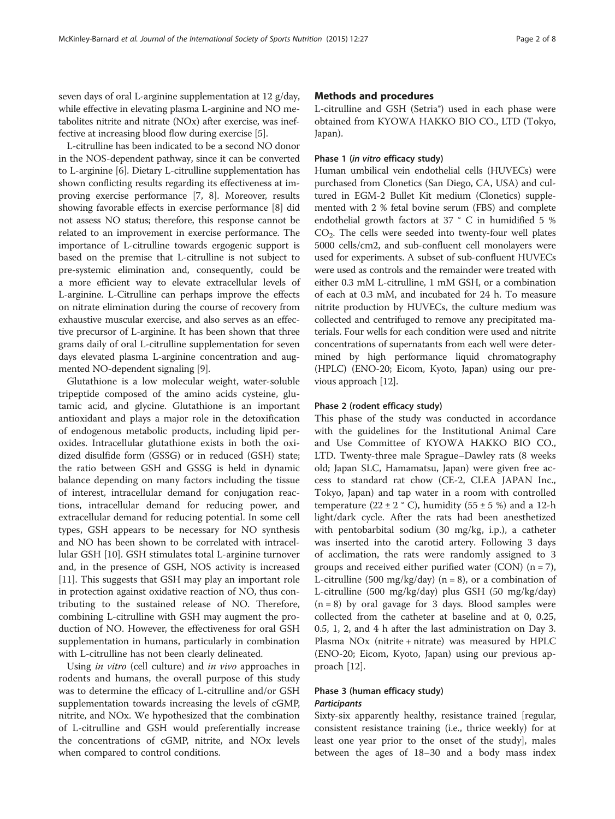seven days of oral L-arginine supplementation at 12 g/day, while effective in elevating plasma L-arginine and NO metabolites nitrite and nitrate (NOx) after exercise, was ineffective at increasing blood flow during exercise [[5](#page-7-0)].

L-citrulline has been indicated to be a second NO donor in the NOS-dependent pathway, since it can be converted to L-arginine [\[6\]](#page-7-0). Dietary L-citrulline supplementation has shown conflicting results regarding its effectiveness at improving exercise performance [[7, 8](#page-7-0)]. Moreover, results showing favorable effects in exercise performance [\[8](#page-7-0)] did not assess NO status; therefore, this response cannot be related to an improvement in exercise performance. The importance of L-citrulline towards ergogenic support is based on the premise that L-citrulline is not subject to pre-systemic elimination and, consequently, could be a more efficient way to elevate extracellular levels of L-arginine. L-Citrulline can perhaps improve the effects on nitrate elimination during the course of recovery from exhaustive muscular exercise, and also serves as an effective precursor of L-arginine. It has been shown that three grams daily of oral L-citrulline supplementation for seven days elevated plasma L-arginine concentration and augmented NO-dependent signaling [[9\]](#page-7-0).

Glutathione is a low molecular weight, water-soluble tripeptide composed of the amino acids cysteine, glutamic acid, and glycine. Glutathione is an important antioxidant and plays a major role in the detoxification of endogenous metabolic products, including lipid peroxides. Intracellular glutathione exists in both the oxidized disulfide form (GSSG) or in reduced (GSH) state; the ratio between GSH and GSSG is held in dynamic balance depending on many factors including the tissue of interest, intracellular demand for conjugation reactions, intracellular demand for reducing power, and extracellular demand for reducing potential. In some cell types, GSH appears to be necessary for NO synthesis and NO has been shown to be correlated with intracellular GSH [[10\]](#page-7-0). GSH stimulates total L-arginine turnover and, in the presence of GSH, NOS activity is increased [[11\]](#page-7-0). This suggests that GSH may play an important role in protection against oxidative reaction of NO, thus contributing to the sustained release of NO. Therefore, combining L-citrulline with GSH may augment the production of NO. However, the effectiveness for oral GSH supplementation in humans, particularly in combination with L-citrulline has not been clearly delineated.

Using in vitro (cell culture) and in vivo approaches in rodents and humans, the overall purpose of this study was to determine the efficacy of L-citrulline and/or GSH supplementation towards increasing the levels of cGMP, nitrite, and NOx. We hypothesized that the combination of L-citrulline and GSH would preferentially increase the concentrations of cGMP, nitrite, and NOx levels when compared to control conditions.

### Methods and procedures

L-citrulline and GSH (Setria®) used in each phase were obtained from KYOWA HAKKO BIO CO., LTD (Tokyo, Japan).

### Phase 1 (in vitro efficacy study)

Human umbilical vein endothelial cells (HUVECs) were purchased from Clonetics (San Diego, CA, USA) and cultured in EGM-2 Bullet Kit medium (Clonetics) supplemented with 2 % fetal bovine serum (FBS) and complete endothelial growth factors at 37 ° C in humidified 5 % CO<sub>2</sub>. The cells were seeded into twenty-four well plates 5000 cells/cm2, and sub-confluent cell monolayers were used for experiments. A subset of sub-confluent HUVECs were used as controls and the remainder were treated with either 0.3 mM L-citrulline, 1 mM GSH, or a combination of each at 0.3 mM, and incubated for 24 h. To measure nitrite production by HUVECs, the culture medium was collected and centrifuged to remove any precipitated materials. Four wells for each condition were used and nitrite concentrations of supernatants from each well were determined by high performance liquid chromatography (HPLC) (ENO-20; Eicom, Kyoto, Japan) using our previous approach [[12\]](#page-7-0).

### Phase 2 (rodent efficacy study)

This phase of the study was conducted in accordance with the guidelines for the Institutional Animal Care and Use Committee of KYOWA HAKKO BIO CO., LTD. Twenty-three male Sprague–Dawley rats (8 weeks old; Japan SLC, Hamamatsu, Japan) were given free access to standard rat chow (CE-2, CLEA JAPAN Inc., Tokyo, Japan) and tap water in a room with controlled temperature  $(22 \pm 2 \degree C)$ , humidity  $(55 \pm 5 \degree 8)$  and a 12-h light/dark cycle. After the rats had been anesthetized with pentobarbital sodium (30 mg/kg, i.p.), a catheter was inserted into the carotid artery. Following 3 days of acclimation, the rats were randomly assigned to 3 groups and received either purified water (CON)  $(n = 7)$ , L-citrulline (500 mg/kg/day) ( $n = 8$ ), or a combination of L-citrulline (500 mg/kg/day) plus GSH (50 mg/kg/day)  $(n = 8)$  by oral gavage for 3 days. Blood samples were collected from the catheter at baseline and at 0, 0.25, 0.5, 1, 2, and 4 h after the last administration on Day 3. Plasma NOx (nitrite + nitrate) was measured by HPLC (ENO-20; Eicom, Kyoto, Japan) using our previous approach [[12\]](#page-7-0).

### Phase 3 (human efficacy study) **Participants**

Sixty-six apparently healthy, resistance trained [regular, consistent resistance training (i.e., thrice weekly) for at least one year prior to the onset of the study], males between the ages of 18–30 and a body mass index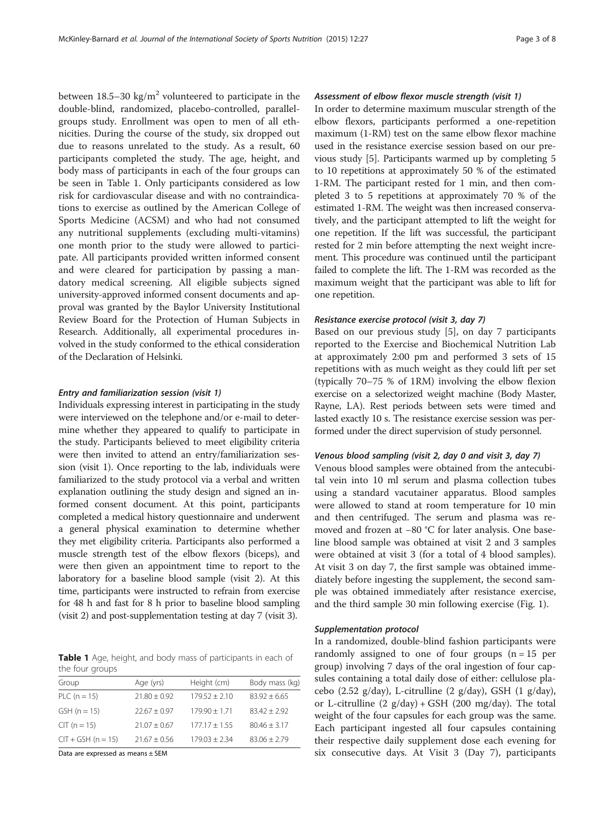between  $18.5-30 \text{ kg/m}^2$  volunteered to participate in the double-blind, randomized, placebo-controlled, parallelgroups study. Enrollment was open to men of all ethnicities. During the course of the study, six dropped out due to reasons unrelated to the study. As a result, 60 participants completed the study. The age, height, and body mass of participants in each of the four groups can be seen in Table 1. Only participants considered as low risk for cardiovascular disease and with no contraindications to exercise as outlined by the American College of Sports Medicine (ACSM) and who had not consumed any nutritional supplements (excluding multi-vitamins) one month prior to the study were allowed to participate. All participants provided written informed consent and were cleared for participation by passing a mandatory medical screening. All eligible subjects signed university-approved informed consent documents and approval was granted by the Baylor University Institutional Review Board for the Protection of Human Subjects in Research. Additionally, all experimental procedures involved in the study conformed to the ethical consideration of the Declaration of Helsinki.

### Entry and familiarization session (visit 1)

Individuals expressing interest in participating in the study were interviewed on the telephone and/or e-mail to determine whether they appeared to qualify to participate in the study. Participants believed to meet eligibility criteria were then invited to attend an entry/familiarization session (visit 1). Once reporting to the lab, individuals were familiarized to the study protocol via a verbal and written explanation outlining the study design and signed an informed consent document. At this point, participants completed a medical history questionnaire and underwent a general physical examination to determine whether they met eligibility criteria. Participants also performed a muscle strength test of the elbow flexors (biceps), and were then given an appointment time to report to the laboratory for a baseline blood sample (visit 2). At this time, participants were instructed to refrain from exercise for 48 h and fast for 8 h prior to baseline blood sampling (visit 2) and post-supplementation testing at day 7 (visit 3).

Table 1 Age, height, and body mass of participants in each of the four groups

| Group                | Age (yrs)      | Height (cm)     | Body mass (kg)   |
|----------------------|----------------|-----------------|------------------|
| PLC $(n = 15)$       | $21.80 + 0.92$ | $179.52 + 2.10$ | $83.92 + 6.65$   |
| $GSH (n = 15)$       | $22.67 + 0.97$ | $179.90 + 1.71$ | $83.42 \pm 2.92$ |
| $CIT (n = 15)$       | $21.07 + 0.67$ | $177.17 + 1.55$ | $80.46 + 3.17$   |
| $CIT + GSH (n = 15)$ | $21.67 + 0.56$ | $179.03 + 2.34$ | $83.06 + 2.79$   |

Data are expressed as means ± SEM

### Assessment of elbow flexor muscle strength (visit 1)

In order to determine maximum muscular strength of the elbow flexors, participants performed a one-repetition maximum (1-RM) test on the same elbow flexor machine used in the resistance exercise session based on our previous study [[5](#page-7-0)]. Participants warmed up by completing 5 to 10 repetitions at approximately 50 % of the estimated 1-RM. The participant rested for 1 min, and then completed 3 to 5 repetitions at approximately 70 % of the estimated 1-RM. The weight was then increased conservatively, and the participant attempted to lift the weight for one repetition. If the lift was successful, the participant rested for 2 min before attempting the next weight increment. This procedure was continued until the participant failed to complete the lift. The 1-RM was recorded as the maximum weight that the participant was able to lift for one repetition.

### Resistance exercise protocol (visit 3, day 7)

Based on our previous study [[5\]](#page-7-0), on day 7 participants reported to the Exercise and Biochemical Nutrition Lab at approximately 2:00 pm and performed 3 sets of 15 repetitions with as much weight as they could lift per set (typically 70–75 % of 1RM) involving the elbow flexion exercise on a selectorized weight machine (Body Master, Rayne, LA). Rest periods between sets were timed and lasted exactly 10 s. The resistance exercise session was performed under the direct supervision of study personnel.

### Venous blood sampling (visit 2, day 0 and visit 3, day 7)

Venous blood samples were obtained from the antecubital vein into 10 ml serum and plasma collection tubes using a standard vacutainer apparatus. Blood samples were allowed to stand at room temperature for 10 min and then centrifuged. The serum and plasma was removed and frozen at −80 °C for later analysis. One baseline blood sample was obtained at visit 2 and 3 samples were obtained at visit 3 (for a total of 4 blood samples). At visit 3 on day 7, the first sample was obtained immediately before ingesting the supplement, the second sample was obtained immediately after resistance exercise, and the third sample 30 min following exercise (Fig. [1](#page-3-0)).

### Supplementation protocol

In a randomized, double-blind fashion participants were randomly assigned to one of four groups  $(n = 15$  per group) involving 7 days of the oral ingestion of four capsules containing a total daily dose of either: cellulose placebo (2.52 g/day), L-citrulline (2 g/day), GSH (1 g/day), or L-citrulline  $(2 g/day) + GSH$  (200 mg/day). The total weight of the four capsules for each group was the same. Each participant ingested all four capsules containing their respective daily supplement dose each evening for six consecutive days. At Visit 3 (Day 7), participants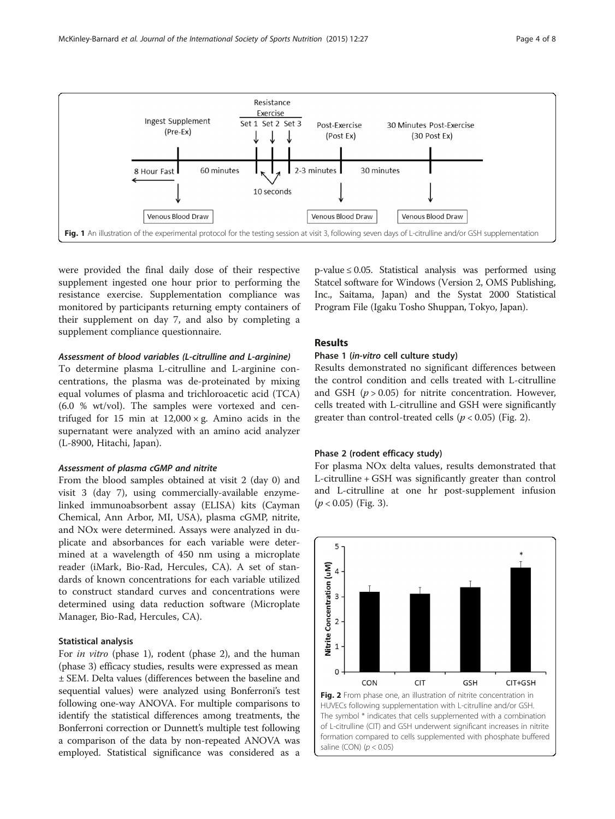<span id="page-3-0"></span>

were provided the final daily dose of their respective supplement ingested one hour prior to performing the resistance exercise. Supplementation compliance was monitored by participants returning empty containers of their supplement on day 7, and also by completing a supplement compliance questionnaire.

### Assessment of blood variables (L-citrulline and L-arginine)

To determine plasma L-citrulline and L-arginine concentrations, the plasma was de-proteinated by mixing equal volumes of plasma and trichloroacetic acid (TCA) (6.0 % wt/vol). The samples were vortexed and centrifuged for 15 min at  $12,000 \times g$ . Amino acids in the supernatant were analyzed with an amino acid analyzer (L-8900, Hitachi, Japan).

### Assessment of plasma cGMP and nitrite

From the blood samples obtained at visit 2 (day 0) and visit 3 (day 7), using commercially-available enzymelinked immunoabsorbent assay (ELISA) kits (Cayman Chemical, Ann Arbor, MI, USA), plasma cGMP, nitrite, and NOx were determined. Assays were analyzed in duplicate and absorbances for each variable were determined at a wavelength of 450 nm using a microplate reader (iMark, Bio-Rad, Hercules, CA). A set of standards of known concentrations for each variable utilized to construct standard curves and concentrations were determined using data reduction software (Microplate Manager, Bio-Rad, Hercules, CA).

### Statistical analysis

For *in vitro* (phase 1), rodent (phase 2), and the human (phase 3) efficacy studies, results were expressed as mean ± SEM. Delta values (differences between the baseline and sequential values) were analyzed using Bonferroni's test following one-way ANOVA. For multiple comparisons to identify the statistical differences among treatments, the Bonferroni correction or Dunnett's multiple test following a comparison of the data by non-repeated ANOVA was employed. Statistical significance was considered as a

p-value ≤ 0.05. Statistical analysis was performed using Statcel software for Windows (Version 2, OMS Publishing, Inc., Saitama, Japan) and the Systat 2000 Statistical Program File (Igaku Tosho Shuppan, Tokyo, Japan).

# Results

## Phase 1 (in-vitro cell culture study)

Results demonstrated no significant differences between the control condition and cells treated with L-citrulline and GSH  $(p > 0.05)$  for nitrite concentration. However, cells treated with L-citrulline and GSH were significantly greater than control-treated cells ( $p < 0.05$ ) (Fig. 2).

### Phase 2 (rodent efficacy study)

For plasma NOx delta values, results demonstrated that L-citrulline + GSH was significantly greater than control and L-citrulline at one hr post-supplement infusion  $(p < 0.05)$  (Fig. [3\)](#page-4-0).

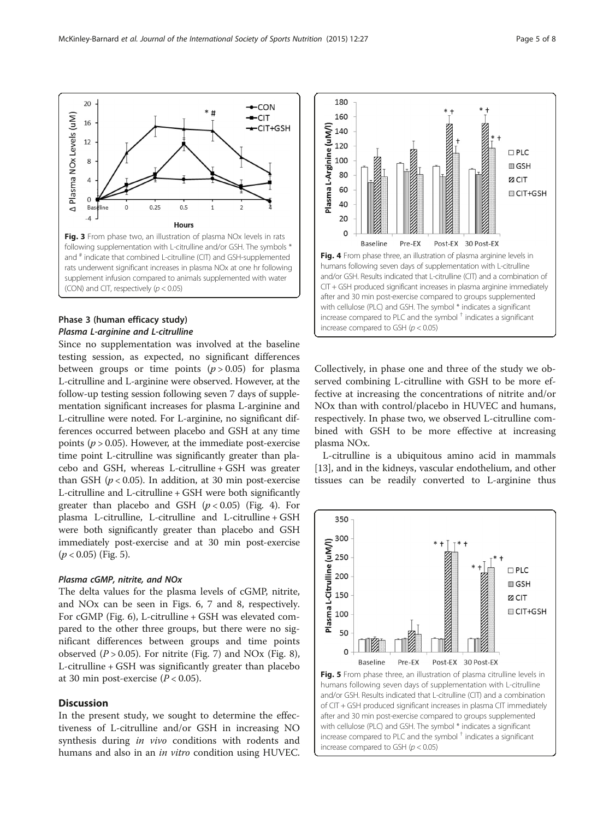Since no supplementation was involved at the baseline testing session, as expected, no significant differences between groups or time points  $(p > 0.05)$  for plasma L-citrulline and L-arginine were observed. However, at the follow-up testing session following seven 7 days of supplementation significant increases for plasma L-arginine and L-citrulline were noted. For L-arginine, no significant differences occurred between placebo and GSH at any time points ( $p > 0.05$ ). However, at the immediate post-exercise time point L-citrulline was significantly greater than placebo and GSH, whereas L-citrulline + GSH was greater than GSH ( $p < 0.05$ ). In addition, at 30 min post-exercise L-citrulline and L-citrulline + GSH were both significantly greater than placebo and GSH  $(p < 0.05)$  (Fig. 4). For plasma L-citrulline, L-citrulline and L-citrulline + GSH were both significantly greater than placebo and GSH immediately post-exercise and at 30 min post-exercise  $(p < 0.05)$  (Fig. 5).

### Plasma cGMP, nitrite, and NOx

The delta values for the plasma levels of cGMP, nitrite, and NOx can be seen in Figs. [6, 7](#page-5-0) and [8](#page-5-0), respectively. For cGMP (Fig. [6\)](#page-5-0), L-citrulline + GSH was elevated compared to the other three groups, but there were no significant differences between groups and time points observed  $(P > 0.05)$ . For nitrite (Fig. [7](#page-5-0)) and NOx (Fig. [8](#page-5-0)), L-citrulline + GSH was significantly greater than placebo at 30 min post-exercise  $(P < 0.05)$ .

## **Discussion**

In the present study, we sought to determine the effectiveness of L-citrulline and/or GSH in increasing NO synthesis during in vivo conditions with rodents and humans and also in an in vitro condition using HUVEC.

Collectively, in phase one and three of the study we observed combining L-citrulline with GSH to be more effective at increasing the concentrations of nitrite and/or NOx than with control/placebo in HUVEC and humans, respectively. In phase two, we observed L-citrulline combined with GSH to be more effective at increasing plasma NOx.

L-citrulline is a ubiquitous amino acid in mammals [[13\]](#page-7-0), and in the kidneys, vascular endothelium, and other tissues can be readily converted to L-arginine thus

 $\Box$  PLC

350 300

250

200



<span id="page-4-0"></span>

# Phase 3 (human efficacy study) Plasma L-arginine and L-citrulline

20

16

 $12$ 

8

Ħ

 $-CON$ 

 $-CIT$ 

CIT+GSH

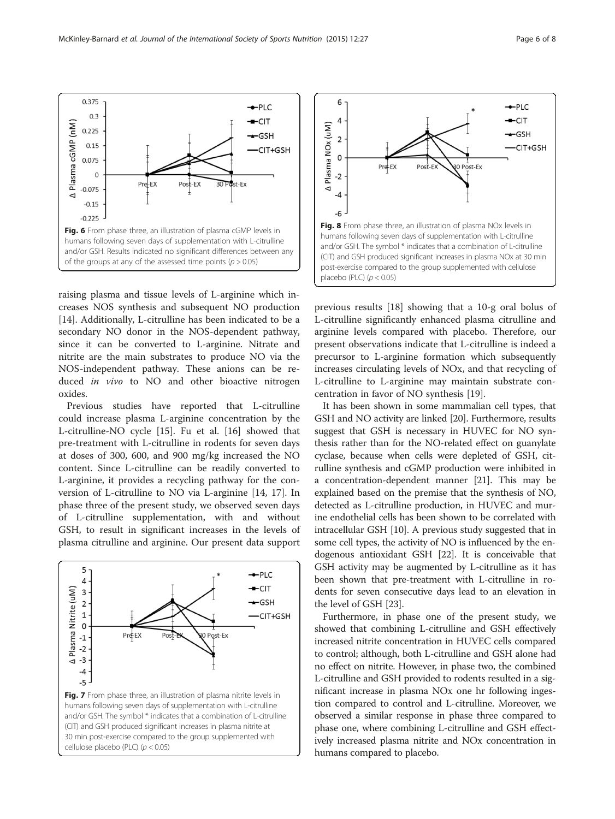raising plasma and tissue levels of L-arginine which increases NOS synthesis and subsequent NO production [[14\]](#page-7-0). Additionally, L-citrulline has been indicated to be a secondary NO donor in the NOS-dependent pathway, since it can be converted to L-arginine. Nitrate and nitrite are the main substrates to produce NO via the NOS-independent pathway. These anions can be reduced in vivo to NO and other bioactive nitrogen oxides.

Fig. 6 From phase three, an illustration of plasma cGMP levels in humans following seven days of supplementation with L-citrulline and/or GSH. Results indicated no significant differences between any of the groups at any of the assessed time points ( $p > 0.05$ )

Post-FX

श्त **R**st-Fy

Pre-EX

<span id="page-5-0"></span>0.375

0.225

 $0.15$ 

0.075

 $-0.075$ 

 $-0.15$ 

 $-0.225$ 

5

 $\overline{4}$ 

 $\Omega$ 

A Plasma cGMP (nM

 $0.3$ 

Previous studies have reported that L-citrulline could increase plasma L-arginine concentration by the L-citrulline-NO cycle [[15\]](#page-7-0). Fu et al. [[16](#page-7-0)] showed that pre-treatment with L-citrulline in rodents for seven days at doses of 300, 600, and 900 mg/kg increased the NO content. Since L-citrulline can be readily converted to L-arginine, it provides a recycling pathway for the conversion of L-citrulline to NO via L-arginine [\[14, 17\]](#page-7-0). In phase three of the present study, we observed seven days of L-citrulline supplementation, with and without GSH, to result in significant increases in the levels of plasma citrulline and arginine. Our present data support



previous results [[18\]](#page-7-0) showing that a 10-g oral bolus of L-citrulline significantly enhanced plasma citrulline and arginine levels compared with placebo. Therefore, our present observations indicate that L-citrulline is indeed a precursor to L-arginine formation which subsequently increases circulating levels of NOx, and that recycling of L-citrulline to L-arginine may maintain substrate concentration in favor of NO synthesis [\[19](#page-7-0)].

It has been shown in some mammalian cell types, that GSH and NO activity are linked [[20](#page-7-0)]. Furthermore, results suggest that GSH is necessary in HUVEC for NO synthesis rather than for the NO-related effect on guanylate cyclase, because when cells were depleted of GSH, citrulline synthesis and cGMP production were inhibited in a concentration-dependent manner [\[21\]](#page-7-0). This may be explained based on the premise that the synthesis of NO, detected as L-citrulline production, in HUVEC and murine endothelial cells has been shown to be correlated with intracellular GSH [\[10\]](#page-7-0). A previous study suggested that in some cell types, the activity of NO is influenced by the endogenous antioxidant GSH [\[22](#page-7-0)]. It is conceivable that GSH activity may be augmented by L-citrulline as it has been shown that pre-treatment with L-citrulline in rodents for seven consecutive days lead to an elevation in the level of GSH [\[23](#page-7-0)].

Furthermore, in phase one of the present study, we showed that combining L-citrulline and GSH effectively increased nitrite concentration in HUVEC cells compared to control; although, both L-citrulline and GSH alone had no effect on nitrite. However, in phase two, the combined L-citrulline and GSH provided to rodents resulted in a significant increase in plasma NOx one hr following ingestion compared to control and L-citrulline. Moreover, we observed a similar response in phase three compared to phase one, where combining L-citrulline and GSH effectively increased plasma nitrite and NOx concentration in humans compared to placebo.

Plasma NOx (uM)  $-2$ -4  $-6$ Fig. 8 From phase three, an illustration of plasma NOx levels in humans following seven days of supplementation with L-citrulline and/or GSH. The symbol \* indicates that a combination of L-citrulline (CIT) and GSH produced significant increases in plasma NOx at 30 min post-exercise compared to the group supplemented with cellulose placebo (PLC) ( $p < 0.05$ )

6

 $\overline{4}$ 

 $\overline{2}$ 

 $\mathbf 0$ 

 $Pr\neq$ FX

 $+PLC$ 

 $-CIT$ 

 $-PIC$ 

 $-CIT$ 

-GSH

CIT+GSH

 $-PLC$ 

 $-CIT$ 

 $\overline{0}$ st-Fx

←GSH

-CIT+GSH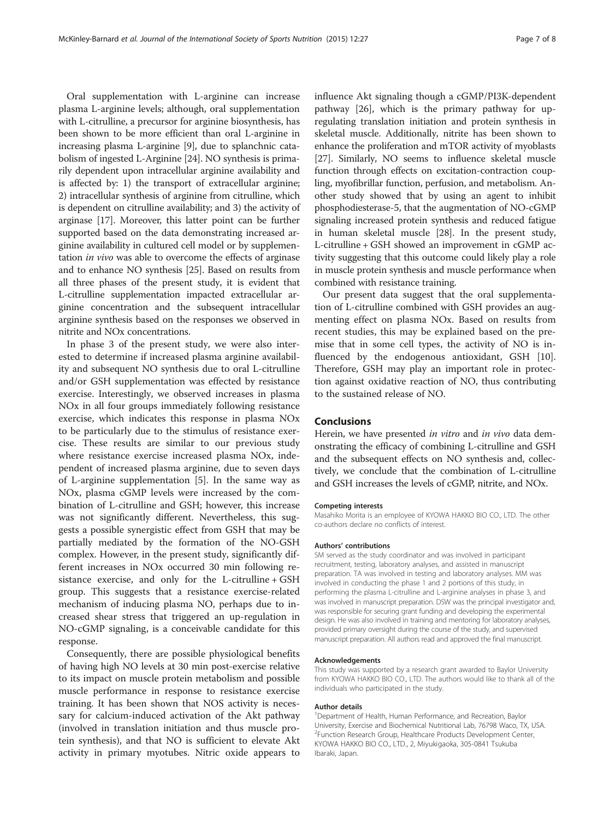Oral supplementation with L-arginine can increase plasma L-arginine levels; although, oral supplementation with L-citrulline, a precursor for arginine biosynthesis, has been shown to be more efficient than oral L-arginine in increasing plasma L-arginine [[9\]](#page-7-0), due to splanchnic catabolism of ingested L-Arginine [\[24](#page-7-0)]. NO synthesis is primarily dependent upon intracellular arginine availability and is affected by: 1) the transport of extracellular arginine; 2) intracellular synthesis of arginine from citrulline, which is dependent on citrulline availability; and 3) the activity of arginase [[17\]](#page-7-0). Moreover, this latter point can be further supported based on the data demonstrating increased arginine availability in cultured cell model or by supplementation in vivo was able to overcome the effects of arginase and to enhance NO synthesis [\[25\]](#page-7-0). Based on results from all three phases of the present study, it is evident that L-citrulline supplementation impacted extracellular arginine concentration and the subsequent intracellular arginine synthesis based on the responses we observed in nitrite and NOx concentrations.

In phase 3 of the present study, we were also interested to determine if increased plasma arginine availability and subsequent NO synthesis due to oral L-citrulline and/or GSH supplementation was effected by resistance exercise. Interestingly, we observed increases in plasma NOx in all four groups immediately following resistance exercise, which indicates this response in plasma NOx to be particularly due to the stimulus of resistance exercise. These results are similar to our previous study where resistance exercise increased plasma NOx, independent of increased plasma arginine, due to seven days of L-arginine supplementation [[5\]](#page-7-0). In the same way as NOx, plasma cGMP levels were increased by the combination of L-citrulline and GSH; however, this increase was not significantly different. Nevertheless, this suggests a possible synergistic effect from GSH that may be partially mediated by the formation of the NO-GSH complex. However, in the present study, significantly different increases in NOx occurred 30 min following resistance exercise, and only for the L-citrulline + GSH group. This suggests that a resistance exercise-related mechanism of inducing plasma NO, perhaps due to increased shear stress that triggered an up-regulation in NO-cGMP signaling, is a conceivable candidate for this response.

Consequently, there are possible physiological benefits of having high NO levels at 30 min post-exercise relative to its impact on muscle protein metabolism and possible muscle performance in response to resistance exercise training. It has been shown that NOS activity is necessary for calcium-induced activation of the Akt pathway (involved in translation initiation and thus muscle protein synthesis), and that NO is sufficient to elevate Akt activity in primary myotubes. Nitric oxide appears to influence Akt signaling though a cGMP/PI3K-dependent pathway [\[26](#page-7-0)], which is the primary pathway for upregulating translation initiation and protein synthesis in skeletal muscle. Additionally, nitrite has been shown to enhance the proliferation and mTOR activity of myoblasts [[27](#page-7-0)]. Similarly, NO seems to influence skeletal muscle function through effects on excitation-contraction coupling, myofibrillar function, perfusion, and metabolism. Another study showed that by using an agent to inhibit phosphodiesterase-5, that the augmentation of NO-cGMP signaling increased protein synthesis and reduced fatigue in human skeletal muscle [\[28](#page-7-0)]. In the present study, L-citrulline + GSH showed an improvement in cGMP activity suggesting that this outcome could likely play a role in muscle protein synthesis and muscle performance when combined with resistance training.

Our present data suggest that the oral supplementation of L-citrulline combined with GSH provides an augmenting effect on plasma NOx. Based on results from recent studies, this may be explained based on the premise that in some cell types, the activity of NO is influenced by the endogenous antioxidant, GSH [\[10](#page-7-0)]. Therefore, GSH may play an important role in protection against oxidative reaction of NO, thus contributing to the sustained release of NO.

### Conclusions

Herein, we have presented in vitro and in vivo data demonstrating the efficacy of combining L-citrulline and GSH and the subsequent effects on NO synthesis and, collectively, we conclude that the combination of L-citrulline and GSH increases the levels of cGMP, nitrite, and NOx.

#### Competing interests

Masahiko Morita is an employee of KYOWA HAKKO BIO CO., LTD. The other co-authors declare no conflicts of interest.

#### Authors' contributions

SM served as the study coordinator and was involved in participant recruitment, testing, laboratory analyses, and assisted in manuscript preparation. TA was involved in testing and laboratory analyses. MM was involved in conducting the phase 1 and 2 portions of this study, in performing the plasma L-citrulline and L-arginine analyses in phase 3, and was involved in manuscript preparation. DSW was the principal investigator and, was responsible for securing grant funding and developing the experimental design. He was also involved in training and mentoring for laboratory analyses, provided primary oversight during the course of the study, and supervised manuscript preparation. All authors read and approved the final manuscript.

#### Acknowledgements

This study was supported by a research grant awarded to Baylor University from KYOWA HAKKO BIO CO., LTD. The authors would like to thank all of the individuals who participated in the study.

### Author details

<sup>1</sup>Department of Health, Human Performance, and Recreation, Baylor University, Exercise and Biochemical Nutritional Lab, 76798 Waco, TX, USA. <sup>2</sup>Function Research Group, Healthcare Products Development Center KYOWA HAKKO BIO CO., LTD., 2, Miyukigaoka, 305-0841 Tsukuba Ibaraki, Japan.